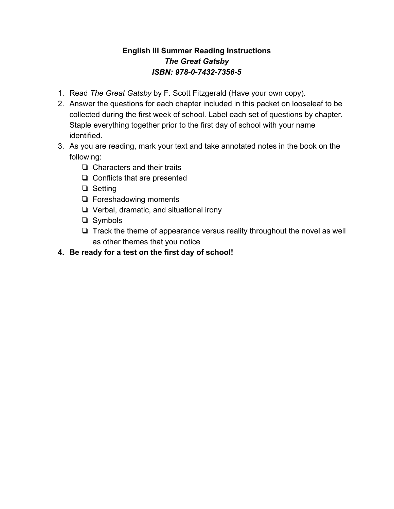#### **English III Summer Reading Instructions** *The Great Gatsby ISBN: 978-0-7432-7356-5*

- 1. Read *The Great Gatsby* by F. Scott Fitzgerald (Have your own copy).
- 2. Answer the questions for each chapter included in this packet on looseleaf to be collected during the first week of school. Label each set of questions by chapter. Staple everything together prior to the first day of school with your name identified.
- 3. As you are reading, mark your text and take annotated notes in the book on the following:
	- ❏ Characters and their traits
	- ❏ Conflicts that are presented
	- ❏ Setting
	- ❏ Foreshadowing moments
	- ❏ Verbal, dramatic, and situational irony
	- ❏ Symbols
	- ❏ Track the theme of appearance versus reality throughout the novel as well as other themes that you notice
- **4. Be ready for a test on the first day of school!**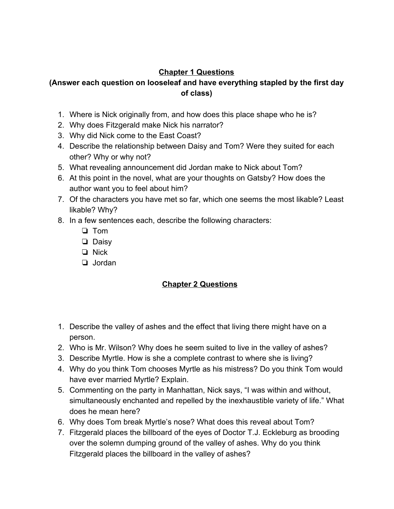### **Chapter 1 Questions**

### **(Answer each question on looseleaf and have everything stapled by the first day of class)**

- 1. Where is Nick originally from, and how does this place shape who he is?
- 2. Why does Fitzgerald make Nick his narrator?
- 3. Why did Nick come to the East Coast?
- 4. Describe the relationship between Daisy and Tom? Were they suited for each other? Why or why not?
- 5. What revealing announcement did Jordan make to Nick about Tom?
- 6. At this point in the novel, what are your thoughts on Gatsby? How does the author want you to feel about him?
- 7. Of the characters you have met so far, which one seems the most likable? Least likable? Why?
- 8. In a few sentences each, describe the following characters:
	- ❏ Tom
	- ❏ Daisy
	- ❏ Nick
	- ❏ Jordan

### **Chapter 2 Questions**

- 1. Describe the valley of ashes and the effect that living there might have on a person.
- 2. Who is Mr. Wilson? Why does he seem suited to live in the valley of ashes?
- 3. Describe Myrtle. How is she a complete contrast to where she is living?
- 4. Why do you think Tom chooses Myrtle as his mistress? Do you think Tom would have ever married Myrtle? Explain.
- 5. Commenting on the party in Manhattan, Nick says, "I was within and without, simultaneously enchanted and repelled by the inexhaustible variety of life." What does he mean here?
- 6. Why does Tom break Myrtle's nose? What does this reveal about Tom?
- 7. Fitzgerald places the billboard of the eyes of Doctor T.J. Eckleburg as brooding over the solemn dumping ground of the valley of ashes. Why do you think Fitzgerald places the billboard in the valley of ashes?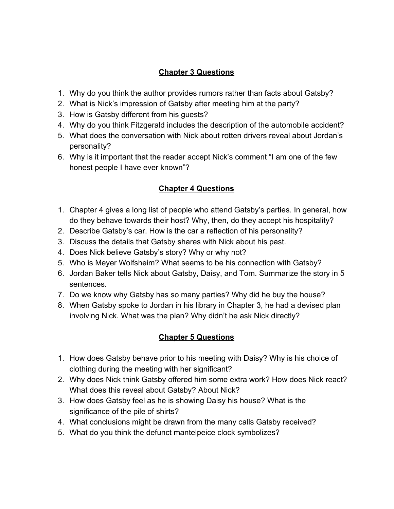### **Chapter 3 Questions**

- 1. Why do you think the author provides rumors rather than facts about Gatsby?
- 2. What is Nick's impression of Gatsby after meeting him at the party?
- 3. How is Gatsby different from his guests?
- 4. Why do you think Fitzgerald includes the description of the automobile accident?
- 5. What does the conversation with Nick about rotten drivers reveal about Jordan's personality?
- 6. Why is it important that the reader accept Nick's comment "I am one of the few honest people I have ever known"?

## **Chapter 4 Questions**

- 1. Chapter 4 gives a long list of people who attend Gatsby's parties. In general, how do they behave towards their host? Why, then, do they accept his hospitality?
- 2. Describe Gatsby's car. How is the car a reflection of his personality?
- 3. Discuss the details that Gatsby shares with Nick about his past.
- 4. Does Nick believe Gatsby's story? Why or why not?
- 5. Who is Meyer Wolfsheim? What seems to be his connection with Gatsby?
- 6. Jordan Baker tells Nick about Gatsby, Daisy, and Tom. Summarize the story in 5 sentences.
- 7. Do we know why Gatsby has so many parties? Why did he buy the house?
- 8. When Gatsby spoke to Jordan in his library in Chapter 3, he had a devised plan involving Nick. What was the plan? Why didn't he ask Nick directly?

# **Chapter 5 Questions**

- 1. How does Gatsby behave prior to his meeting with Daisy? Why is his choice of clothing during the meeting with her significant?
- 2. Why does Nick think Gatsby offered him some extra work? How does Nick react? What does this reveal about Gatsby? About Nick?
- 3. How does Gatsby feel as he is showing Daisy his house? What is the significance of the pile of shirts?
- 4. What conclusions might be drawn from the many calls Gatsby received?
- 5. What do you think the defunct mantelpeice clock symbolizes?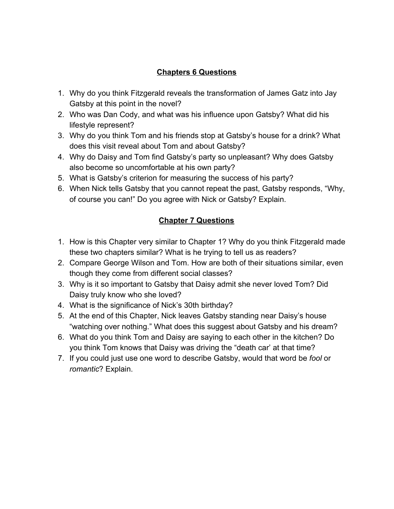### **Chapters 6 Questions**

- 1. Why do you think Fitzgerald reveals the transformation of James Gatz into Jay Gatsby at this point in the novel?
- 2. Who was Dan Cody, and what was his influence upon Gatsby? What did his lifestyle represent?
- 3. Why do you think Tom and his friends stop at Gatsby's house for a drink? What does this visit reveal about Tom and about Gatsby?
- 4. Why do Daisy and Tom find Gatsby's party so unpleasant? Why does Gatsby also become so uncomfortable at his own party?
- 5. What is Gatsby's criterion for measuring the success of his party?
- 6. When Nick tells Gatsby that you cannot repeat the past, Gatsby responds, "Why, of course you can!" Do you agree with Nick or Gatsby? Explain.

### **Chapter 7 Questions**

- 1. How is this Chapter very similar to Chapter 1? Why do you think Fitzgerald made these two chapters similar? What is he trying to tell us as readers?
- 2. Compare George Wilson and Tom. How are both of their situations similar, even though they come from different social classes?
- 3. Why is it so important to Gatsby that Daisy admit she never loved Tom? Did Daisy truly know who she loved?
- 4. What is the significance of Nick's 30th birthday?
- 5. At the end of this Chapter, Nick leaves Gatsby standing near Daisy's house "watching over nothing." What does this suggest about Gatsby and his dream?
- 6. What do you think Tom and Daisy are saying to each other in the kitchen? Do you think Tom knows that Daisy was driving the "death car' at that time?
- 7. If you could just use one word to describe Gatsby, would that word be *fool* or *romantic*? Explain.